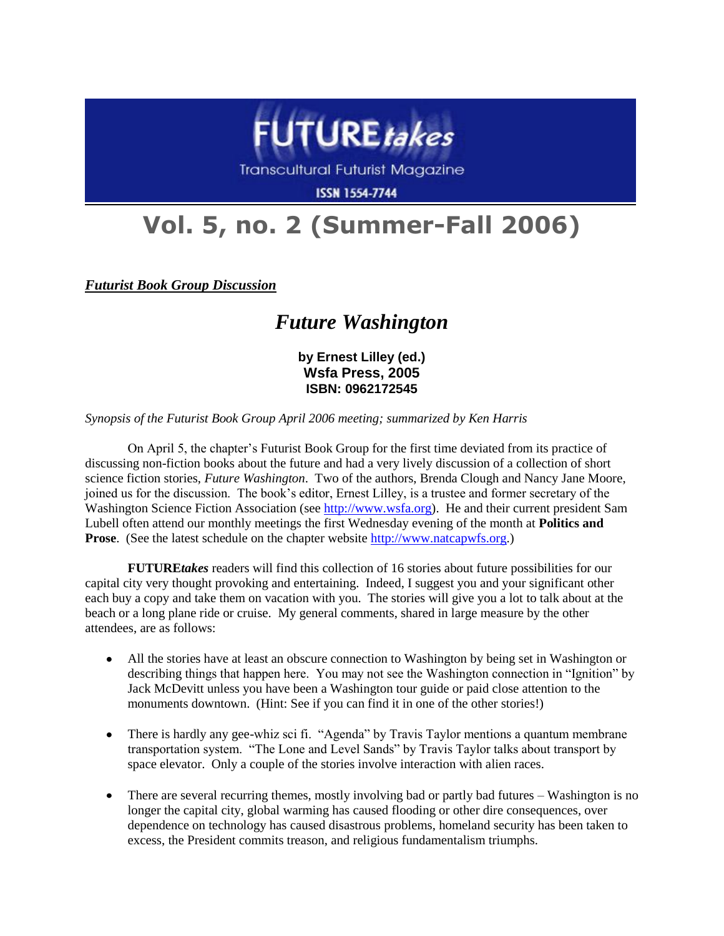

**Transcultural Futurist Magazine** 

**ISSN 1554-7744** 

## **Vol. 5, no. 2 (Summer-Fall 2006)**

*Futurist Book Group Discussion*

## *Future Washington*

**by Ernest Lilley (ed.) Wsfa Press, 2005 ISBN: 0962172545**

*Synopsis of the Futurist Book Group April 2006 meeting; summarized by Ken Harris*

On April 5, the chapter's Futurist Book Group for the first time deviated from its practice of discussing non-fiction books about the future and had a very lively discussion of a collection of short science fiction stories, *Future Washington*. Two of the authors, Brenda Clough and Nancy Jane Moore, joined us for the discussion. The book's editor, Ernest Lilley, is a trustee and former secretary of the Washington Science Fiction Association (see [http://www.wsfa.org\)](http://www.wsfa.org/). He and their current president Sam Lubell often attend our monthly meetings the first Wednesday evening of the month at **Politics and Prose**. (See the latest schedule on the chapter website [http://www.natcapwfs.org.](http://www.natcapwfs.org/))

**FUTURE***takes* readers will find this collection of 16 stories about future possibilities for our capital city very thought provoking and entertaining. Indeed, I suggest you and your significant other each buy a copy and take them on vacation with you. The stories will give you a lot to talk about at the beach or a long plane ride or cruise. My general comments, shared in large measure by the other attendees, are as follows:

- All the stories have at least an obscure connection to Washington by being set in Washington or  $\bullet$ describing things that happen here. You may not see the Washington connection in "Ignition" by Jack McDevitt unless you have been a Washington tour guide or paid close attention to the monuments downtown. (Hint: See if you can find it in one of the other stories!)
- There is hardly any gee-whiz sci fi. "Agenda" by Travis Taylor mentions a quantum membrane  $\bullet$ transportation system. "The Lone and Level Sands" by Travis Taylor talks about transport by space elevator. Only a couple of the stories involve interaction with alien races.
- There are several recurring themes, mostly involving bad or partly bad futures Washington is no longer the capital city, global warming has caused flooding or other dire consequences, over dependence on technology has caused disastrous problems, homeland security has been taken to excess, the President commits treason, and religious fundamentalism triumphs.